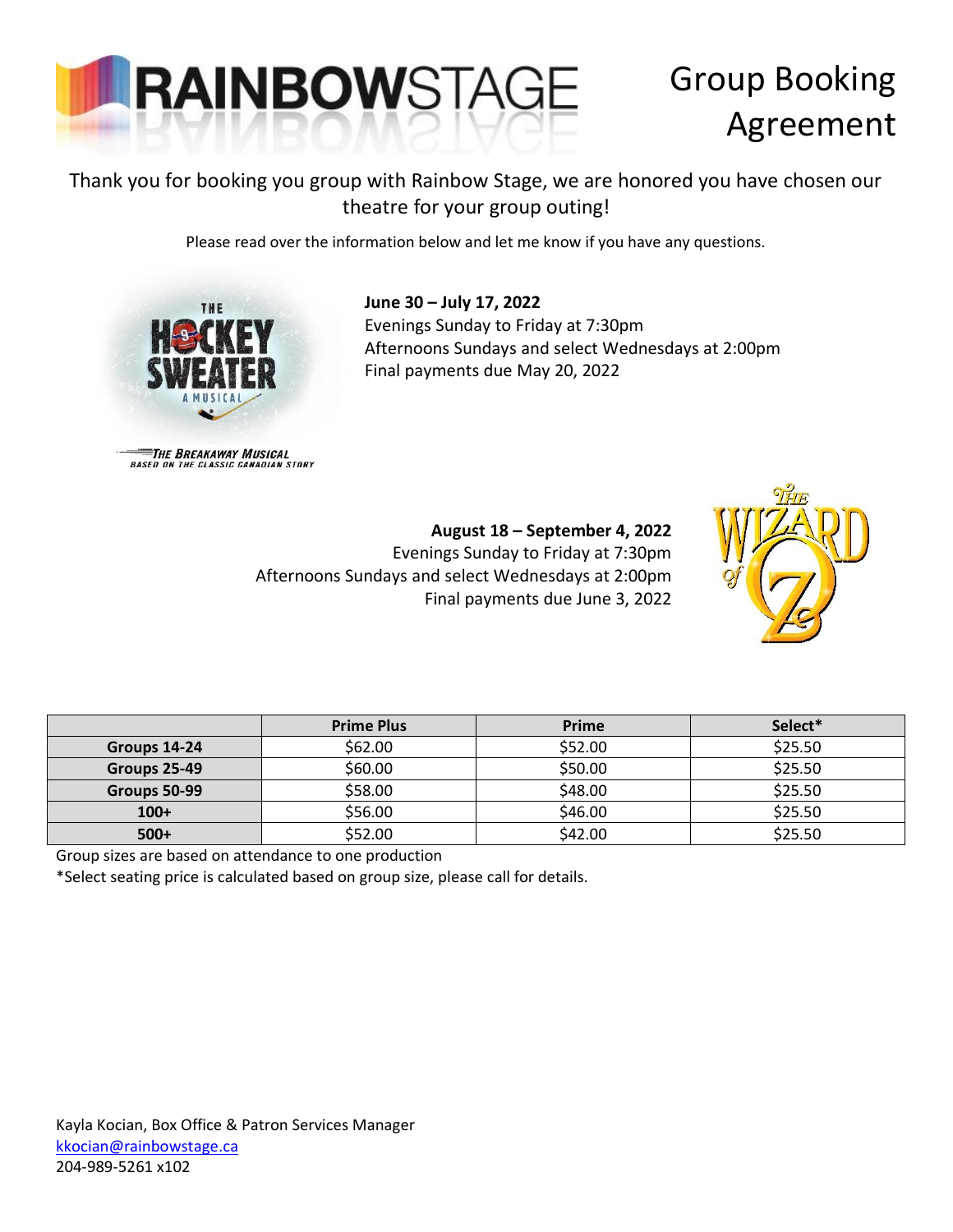

# Group Booking Agreement

### Thank you for booking you group with Rainbow Stage, we are honored you have chosen our theatre for your group outing!

Please read over the information below and let me know if you have any questions.



**June 30 – July 17, 2022** Evenings Sunday to Friday at 7:30pm Afternoons Sundays and select Wednesdays at 2:00pm Final payments due May 20, 2022

THE BREAKAWAY MUSICAL<br>BASED ON THE CLASSIC CANADIAN STORY

#### **August 18 – September 4, 2022**

Evenings Sunday to Friday at 7:30pm Afternoons Sundays and select Wednesdays at 2:00pm Final payments due June 3, 2022



|              | <b>Prime Plus</b> | Prime   | Select* |
|--------------|-------------------|---------|---------|
| Groups 14-24 | \$62.00           | \$52.00 | \$25.50 |
| Groups 25-49 | \$60.00           | \$50.00 | \$25.50 |
| Groups 50-99 | \$58.00           | \$48.00 | \$25.50 |
| $100+$       | \$56.00           | \$46.00 | \$25.50 |
| $500+$       | \$52.00           | \$42.00 | \$25.50 |

Group sizes are based on attendance to one production

\*Select seating price is calculated based on group size, please call for details.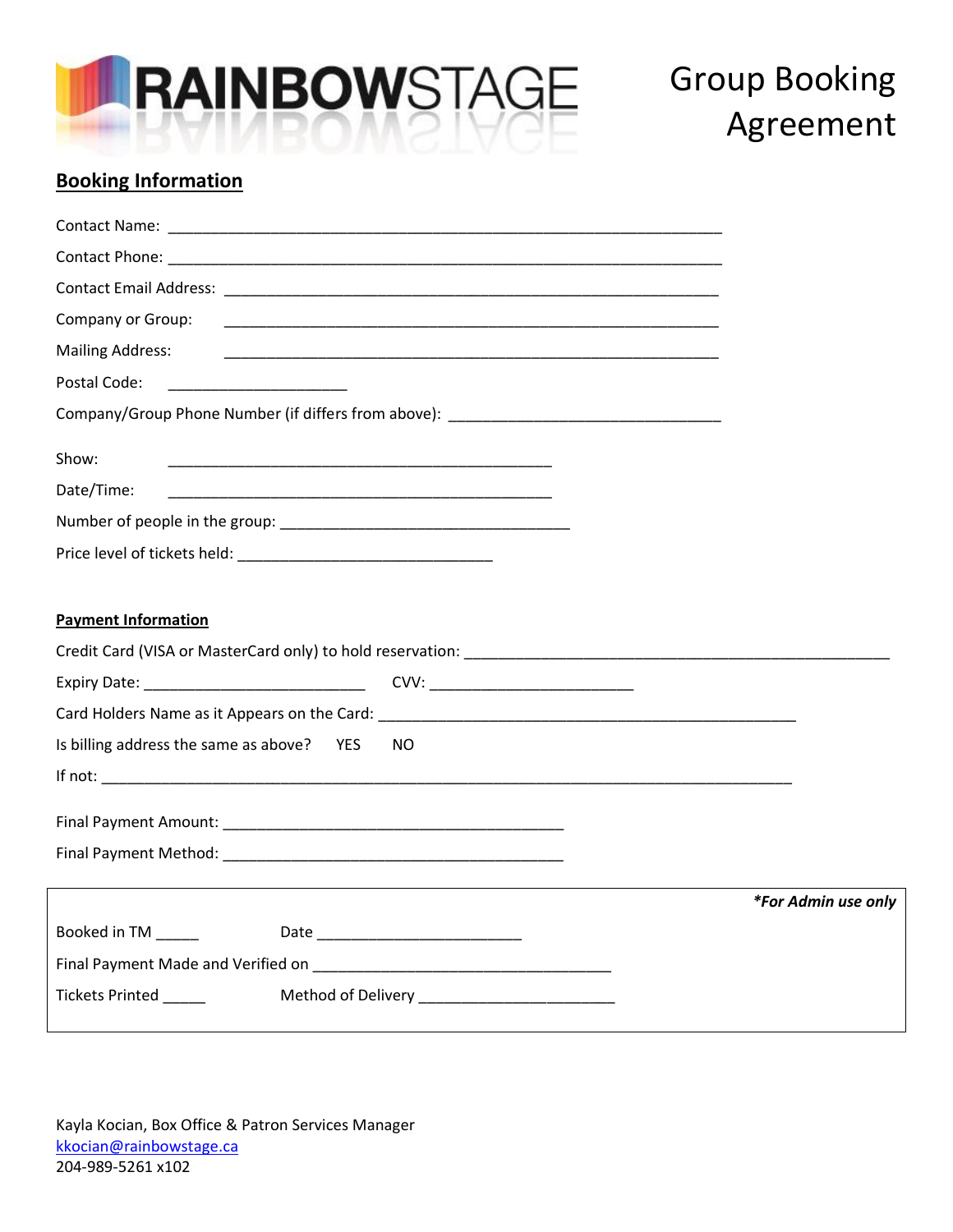

# Group Booking Agreement

### **Booking Information**

| Company or Group:                                                                                                                  |                                                                                                                                                                                                                                |                     |
|------------------------------------------------------------------------------------------------------------------------------------|--------------------------------------------------------------------------------------------------------------------------------------------------------------------------------------------------------------------------------|---------------------|
| <b>Mailing Address:</b>                                                                                                            |                                                                                                                                                                                                                                |                     |
| Postal Code:                                                                                                                       |                                                                                                                                                                                                                                |                     |
|                                                                                                                                    | Company/Group Phone Number (if differs from above): ____________________________                                                                                                                                               |                     |
| Show:                                                                                                                              |                                                                                                                                                                                                                                |                     |
| <u> 1989 - Johann John Stone, markin film yn y brenin y brenin y brenin y brenin y brenin y brenin y brenin y br</u><br>Date/Time: |                                                                                                                                                                                                                                |                     |
|                                                                                                                                    |                                                                                                                                                                                                                                |                     |
|                                                                                                                                    |                                                                                                                                                                                                                                |                     |
|                                                                                                                                    |                                                                                                                                                                                                                                |                     |
| <b>Payment Information</b>                                                                                                         |                                                                                                                                                                                                                                |                     |
|                                                                                                                                    | Credit Card (VISA or MasterCard only) to hold reservation: Network and the control of the control of the control of the control of the control of the control of the control of the control of the control of the control of t |                     |
|                                                                                                                                    |                                                                                                                                                                                                                                |                     |
|                                                                                                                                    |                                                                                                                                                                                                                                |                     |
| Is billing address the same as above? YES                                                                                          | NO.                                                                                                                                                                                                                            |                     |
|                                                                                                                                    |                                                                                                                                                                                                                                |                     |
|                                                                                                                                    |                                                                                                                                                                                                                                |                     |
|                                                                                                                                    |                                                                                                                                                                                                                                |                     |
|                                                                                                                                    |                                                                                                                                                                                                                                |                     |
|                                                                                                                                    |                                                                                                                                                                                                                                | *For Admin use only |
| Booked in TM ______                                                                                                                |                                                                                                                                                                                                                                |                     |
|                                                                                                                                    |                                                                                                                                                                                                                                |                     |
| Tickets Printed ______                                                                                                             |                                                                                                                                                                                                                                |                     |
|                                                                                                                                    |                                                                                                                                                                                                                                |                     |

Kayla Kocian, Box Office & Patron Services Manager [kkocian@rainbowstage.ca](mailto:kkocian@rainbowstage.ca) 204-989-5261 x102